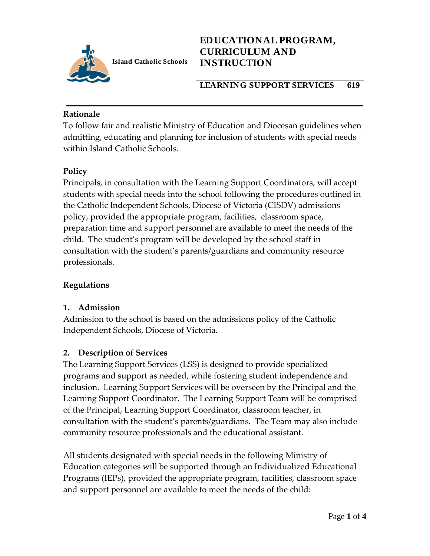

## **LEARNING SUPPORT SERVICES 619**

### **Rationale**

To follow fair and realistic Ministry of Education and Diocesan guidelines when admitting, educating and planning for inclusion of students with special needs within Island Catholic Schools.

# **Policy**

Principals, in consultation with the Learning Support Coordinators, will accept students with special needs into the school following the procedures outlined in the Catholic Independent Schools, Diocese of Victoria (CISDV) admissions policy, provided the appropriate program, facilities, classroom space, preparation time and support personnel are available to meet the needs of the child. The student's program will be developed by the school staff in consultation with the student's parents/guardians and community resource professionals.

#### **Regulations**

#### **1. Admission**

Admission to the school is based on the admissions policy of the Catholic Independent Schools, Diocese of Victoria.

# **2. Description of Services**

The Learning Support Services (LSS) is designed to provide specialized programs and support as needed, while fostering student independence and inclusion. Learning Support Services will be overseen by the Principal and the Learning Support Coordinator. The Learning Support Team will be comprised of the Principal, Learning Support Coordinator, classroom teacher, in consultation with the student's parents/guardians. The Team may also include community resource professionals and the educational assistant.

All students designated with special needs in the following Ministry of Education categories will be supported through an Individualized Educational Programs (IEPs), provided the appropriate program, facilities, classroom space and support personnel are available to meet the needs of the child: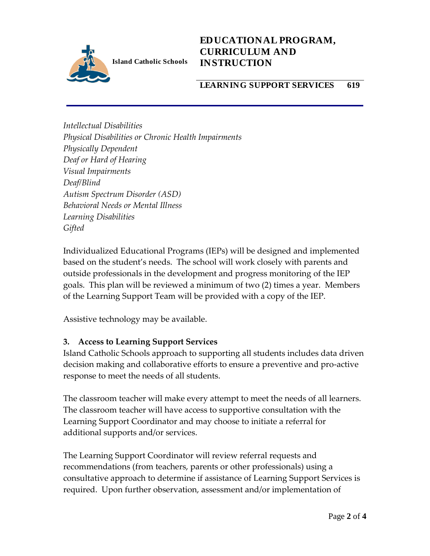

### **LEARNING SUPPORT SERVICES 619**

*Intellectual Disabilities Physical Disabilities or Chronic Health Impairments Physically Dependent Deaf or Hard of Hearing Visual Impairments Deaf/Blind Autism Spectrum Disorder (ASD) Behavioral Needs or Mental Illness Learning Disabilities Gifted*

Individualized Educational Programs (IEPs) will be designed and implemented based on the student's needs. The school will work closely with parents and outside professionals in the development and progress monitoring of the IEP goals. This plan will be reviewed a minimum of two (2) times a year. Members of the Learning Support Team will be provided with a copy of the IEP.

Assistive technology may be available.

# **3. Access to Learning Support Services**

Island Catholic Schools approach to supporting all students includes data driven decision making and collaborative efforts to ensure a preventive and pro-active response to meet the needs of all students.

The classroom teacher will make every attempt to meet the needs of all learners. The classroom teacher will have access to supportive consultation with the Learning Support Coordinator and may choose to initiate a referral for additional supports and/or services.

The Learning Support Coordinator will review referral requests and recommendations (from teachers, parents or other professionals) using a consultative approach to determine if assistance of Learning Support Services is required. Upon further observation, assessment and/or implementation of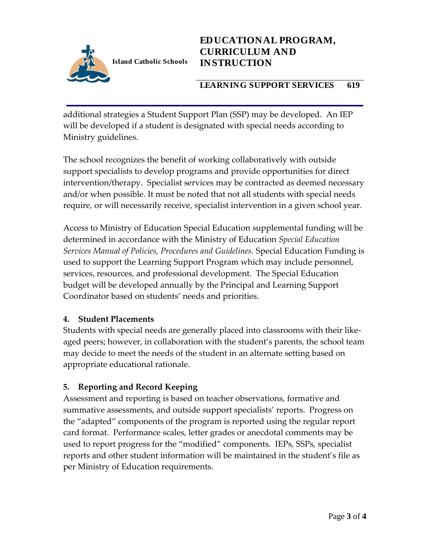

## **LEARNING SUPPORT SERVICES 619**

additional strategies a Student Support Plan (SSP) may be developed. An IEP will be developed if a student is designated with special needs according to Ministry guidelines.

The school recognizes the benefit of working collaboratively with outside support specialists to develop programs and provide opportunities for direct intervention/therapy. Specialist services may be contracted as deemed necessary and/or when possible. It must be noted that not all students with special needs require, or will necessarily receive, specialist intervention in a given school year.

Access to Ministry of Education Special Education supplemental funding will be determined in accordance with the Ministry of Education *Special Education Services Manual of Policies, Procedures and Guidelines.* Special Education Funding is used to support the Learning Support Program which may include personnel, services, resources, and professional development. The Special Education budget will be developed annually by the Principal and Learning Support Coordinator based on students' needs and priorities.

#### **4. Student Placements**

Students with special needs are generally placed into classrooms with their likeaged peers; however, in collaboration with the student's parents, the school team may decide to meet the needs of the student in an alternate setting based on appropriate educational rationale.

#### **5. Reporting and Record Keeping**

Assessment and reporting is based on teacher observations, formative and summative assessments, and outside support specialists' reports. Progress on the "adapted" components of the program is reported using the regular report card format. Performance scales, letter grades or anecdotal comments may be used to report progress for the "modified" components. IEPs, SSPs, specialist reports and other student information will be maintained in the student's file as per Ministry of Education requirements.